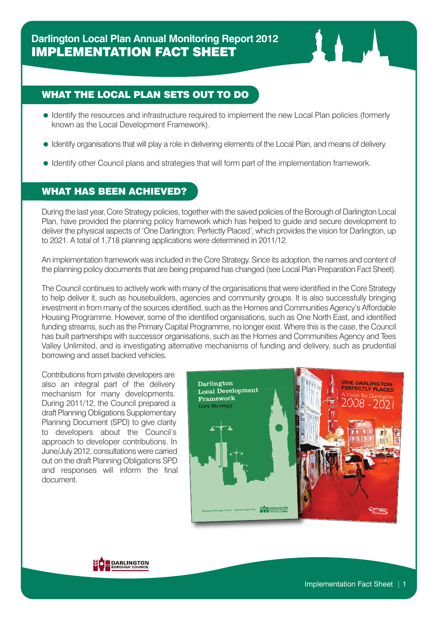## WHAT THE LOCAL PLAN SETS OUT TO DO

- Identify the resources and infrastructure required to implement the new Local Plan policies (formerly known as the Local Development Framework).
- Identify organisations that will play a role in delivering elements of the Local Plan, and means of delivery.
- Identify other Council plans and strategies that will form part of the implementation framework.

## WHAT HAS BEEN ACHIEVED?

During the last year, Core Strategy policies, together with the saved policies of the Borough of Darlington Local Plan, have provided the planning policy framework which has helped to guide and secure development to deliver the physical aspects of 'One Darlington: Perfectly Placed', which provides the vision for Darlington, up to 2021. A total of 1,718 planning applications were determined in 2011/12.

An implementation framework was included in the Core Strategy. Since its adoption, the names and content of the planning policy documents that are being prepared has changed (see Local Plan Preparation Fact Sheet).

The Council continues to actively work with many of the organisations that were identified in the Core Strategy to help deliver it, such as housebuilders, agencies and community groups. It is also successfully bringing investment in from many of the sources identified, such as the Homes and Communities Agency's Affordable Housing Programme. However, some of the identified organisations, such as One North East, and identified funding streams, such as the Primary Capital Programme, no longer exist. Where this is the case, the Council has built partnerships with successor organisations, such as the Homes and Communities Agency and Tees Valley Unlimited, and is investigating alternative mechanisms of funding and delivery, such as prudential borrowing and asset backed vehicles.

Contributions from private developers are also an integral part of the delivery mechanism for many developments. During 2011/12, the Council prepared a draft Planning Obligations Supplementary Planning Document (SPD) to give clarity to developers about the Council's approach to developer contributions. In June/July 2012, consultationswere carried out on the draft Planning Obligations SPD and responses will inform the final document.